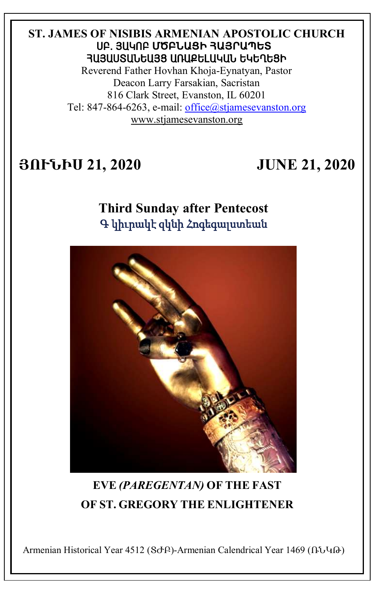#### **ST. JAMES OF NISIBIS ARMENIAN APOSTOLIC CHURCH** ê´. Ú²Îà´ **ՄԾԲՆԱՑԻ ՀԱՅՐԱՊԵՏ** ՅԱՅԱՍՏԱՆԵԱՅՑ ԱՌԱՔԵԼԱԿԱՆ ԵԿԵՂԵՑԻ

Reverend Father Hovhan Khoja-Eynatyan, Pastor Deacon Larry Farsakian, Sacristan 816 Clark Street, Evanston, IL 60201 Tel: 847-864-6263, e-mail: [office@stjamesevanston.org](mailto:office@stjamesevanston.org) [www.stjamesevanston.org](http://www.stjamesevanston.org/)

# **ՅՈՒՆԻՍ 21, 2020 JUNE 21, 2020**

# **Third Sunday after Pentecost**  Գ կիւրակէ զկնի Հոգեգալստեան



# **EVE** *(PAREGENTAN)* **OF THE FAST OF ST. GREGORY THE ENLIGHTENER**

Armenian Historical Year 4512 (ՏԺԲ)-Armenian Calendrical Year 1469 (ՌՆԿԹ)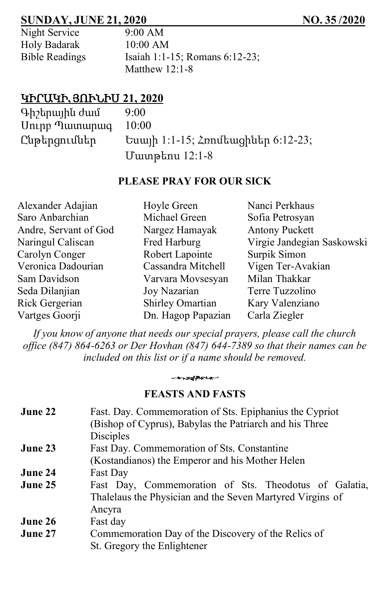### **SUNDAY, JUNE 21, 2020 NO. 35 /2020**

| Night Service         |
|-----------------------|
| Holy Badarak          |
| <b>Bible Readings</b> |

 $9:00$  AM  $10:00$  AM Isaiah 1:1-15; Romans 6:12-23; Matthew  $12:1-8$ 

# ԿԻՐԱԿԻ**,** ՅՈՒՆԻՍ **21, 2020**

| Գիշերային ժամ<br>Uning Tulumunung | 9:00<br>10:00                                                 |
|-----------------------------------|---------------------------------------------------------------|
| Ընթերցումներ                      | $U = \text{U} \cdot 12 - 15$ ; $\text{Z}$ multuughut 6:12-23; |
|                                   | Մատթեոս 12:1-8                                                |

#### **PLEASE PRAY FOR OUR SICK**

| Hoyle Green        | Nanci Perkhaus             |
|--------------------|----------------------------|
| Michael Green      | Sofia Petrosyan            |
| Nargez Hamayak     | <b>Antony Puckett</b>      |
| Fred Harburg       | Virgie Jandegian Saskowski |
| Robert Lapointe    | Surpik Simon               |
| Cassandra Mitchell | Vigen Ter-Avakian          |
| Varvara Movsesyan  | Milan Thakkar              |
| Joy Nazarian       | Terre Tuzzolino            |
| Shirley Omartian   | Kary Valenziano            |
| Dn. Hagop Papazian | Carla Ziegler              |
|                    |                            |

*If you know of anyone that needs our special prayers, please call the church office (847) 864-6263 or Der Hovhan (847) 644-7389 so that their names can be included on this list or if a name should be removed.*

## -systemen **FEASTS AND FASTS**

| Fast. Day. Commemoration of Sts. Epiphanius the Cypriot   |
|-----------------------------------------------------------|
| (Bishop of Cyprus), Babylas the Patriarch and his Three   |
| Disciples                                                 |
| Fast Day. Commemoration of Sts. Constantine               |
| (Kostandianos) the Emperor and his Mother Helen           |
| Fast Day                                                  |
| Fast Day, Commemoration of Sts. Theodotus of Galatia,     |
| Thalelaus the Physician and the Seven Martyred Virgins of |
| Ancyra                                                    |
| Fast day                                                  |
| Commemoration Day of the Discovery of the Relics of       |
| St. Gregory the Enlightener                               |
|                                                           |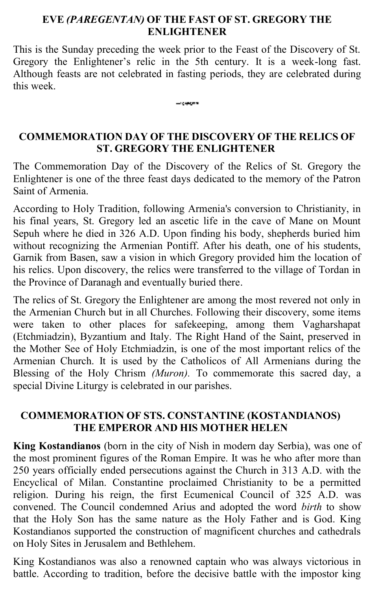#### **EVE** *(PAREGENTAN)* **OF THE FAST OF ST. GREGORY THE ENLIGHTENER**

This is the Sunday preceding the week prior to the Feast of the Discovery of St. Gregory the Enlightener's relic in the 5th century. It is a week-long fast. Although feasts are not celebrated in fasting periods, they are celebrated during this week.

------

#### **COMMEMORATION DAY OF THE DISCOVERY OF THE RELICS OF ST. GREGORY THE ENLIGHTENER**

The Commemoration Day of the Discovery of the Relics of St. Gregory the Enlightener is one of the three feast days dedicated to the memory of the Patron Saint of Armenia.

According to Holy Tradition, following Armenia's conversion to Christianity, in his final years, St. Gregory led an ascetic life in the cave of Mane on Mount Sepuh where he died in 326 A.D. Upon finding his body, shepherds buried him without recognizing the Armenian Pontiff. After his death, one of his students, Garnik from Basen, saw a vision in which Gregory provided him the location of his relics. Upon discovery, the relics were transferred to the village of Tordan in the Province of Daranagh and eventually buried there.

The relics of St. Gregory the Enlightener are among the most revered not only in the Armenian Church but in all Churches. Following their discovery, some items were taken to other places for safekeeping, among them Vagharshapat (Etchmiadzin), Byzantium and Italy. The Right Hand of the Saint, preserved in the Mother See of Holy Etchmiadzin, is one of the most important relics of the Armenian Church. It is used by the Catholicos of All Armenians during the Blessing of the Holy Chrism *(Muron).* To commemorate this sacred day, a special Divine Liturgy is celebrated in our parishes.

#### **COMMEMORATION OF STS. CONSTANTINE (KOSTANDIANOS) THE EMPEROR AND HIS MOTHER HELEN**

**King Kostandianos** (born in the city of Nish in modern day Serbia), was one of the most prominent figures of the Roman Empire. It was he who after more than 250 years officially ended persecutions against the Church in 313 A.D. with the Encyclical of Milan. Constantine proclaimed Christianity to be a permitted religion. During his reign, the first Ecumenical Council of 325 A.D. was convened. The Council condemned Arius and adopted the word *birth* to show that the Holy Son has the same nature as the Holy Father and is God. King Kostandianos supported the construction of magnificent churches and cathedrals on Holy Sites in Jerusalem and Bethlehem.

King Kostandianos was also a renowned captain who was always victorious in battle. According to tradition, before the decisive battle with the impostor king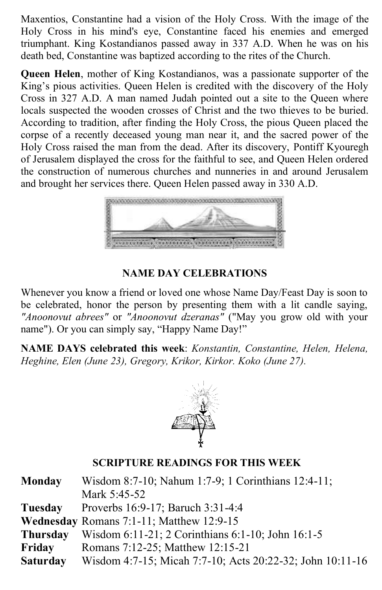Maxentios, Constantine had a vision of the Holy Cross. With the image of the Holy Cross in his mind's eye, Constantine faced his enemies and emerged triumphant. King Kostandianos passed away in 337 A.D. When he was on his death bed, Constantine was baptized according to the rites of the Church.

**Queen Helen**, mother of King Kostandianos, was a passionate supporter of the King's pious activities. Queen Helen is credited with the discovery of the Holy Cross in 327 A.D. A man named Judah pointed out a site to the Queen where locals suspected the wooden crosses of Christ and the two thieves to be buried. According to tradition, after finding the Holy Cross, the pious Queen placed the corpse of a recently deceased young man near it, and the sacred power of the Holy Cross raised the man from the dead. After its discovery, Pontiff Kyouregh of Jerusalem displayed the cross for the faithful to see, and Queen Helen ordered the construction of numerous churches and nunneries in and around Jerusalem and brought her services there. Queen Helen passed away in 330 A.D.



## **NAME DAY CELEBRATIONS**

Whenever you know a friend or loved one whose Name Day/Feast Day is soon to be celebrated, honor the person by presenting them with a lit candle saying, *"Anoonovut abrees"* or *"Anoonovut dzeranas"* ("May you grow old with your name"). Or you can simply say, "Happy Name Day!"

**NAME DAYS celebrated this week**: *Konstantin, Constantine, Helen, Helena, Heghine, Elen (June 23), Gregory, Krikor, Kirkor. Koko (June 27).*



#### **SCRIPTURE READINGS FOR THIS WEEK**

| <b>Monday</b>   | Wisdom 8:7-10; Nahum 1:7-9; 1 Corinthians 12:4-11;        |
|-----------------|-----------------------------------------------------------|
|                 | Mark 5:45-52                                              |
| Tuesday         | Proverbs 16:9-17; Baruch 3:31-4:4                         |
|                 | Wednesday Romans 7:1-11; Matthew 12:9-15                  |
| Thursday        | Wisdom 6:11-21; 2 Corinthians 6:1-10; John 16:1-5         |
| Friday          | Romans 7:12-25; Matthew 12:15-21                          |
| <b>Saturday</b> | Wisdom 4:7-15; Micah 7:7-10; Acts 20:22-32; John 10:11-16 |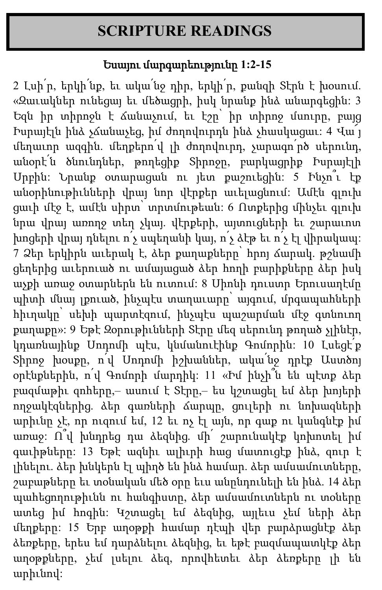# **SCRIPTURE READINGS**

# Եսայու մարգարեությունը **1:2-15**

2 Լսի $p'$ ր, երկի նք, եւ ակա $p'$ նջ դիր, երկի ր, քանզի Տէրն է խօսում. «Զաւակներ ունեցայ եւ մեծացրի, իսկ նրանք ինձ անարգեցին: 3 Եզն իր տիրոջն է ճանաչում, եւ էշը՝ իր տիրոջ մսուրը, բայց Իսրայէլն ինձ չճանաչեց, իմ ժողովուրդն ինձ չհասկացաւ: 4 Վա՜յ մեղաւոր ազգին. մեղքերո՛վ լի ժողովուրդ, չարագո՛րծ սերունդ, անօրէ՛ն ծնունդներ, թողեցիք Տիրոջը, բարկացրիք Իսրայէլի Սրբին: Նրանք օտարացան ու յետ քաշուեցին: 5 Ինչո՞ւ էք անօրինութիւնների վրայ նոր վէրքեր աւելացնում: Ամէն գլուխ ցաւի մէջ է, ամէն սիրտ՝ տրտմութեան: 6 Ոտքերից մինչեւ գլուխ նրա վրայ առողջ տեղ չկայ. վէրքերի, այտուցների եւ շարաւոտ խոցերի վրայ դնելու ո՛չ սպեղանի կայ, ո՛չ ձէթ եւ ո՛չ էլ վիրակապ: 7 Ձեր երկիրն աւերակ է, ձեր քաղաքները՝ հրոյ ճարակ. թշնամի ցեղերից աւերուած ու ամայացած ձեր հողի բարիքները ձեր իսկ աչքի առաջ օտարներն են ուտում: 8 Սիոնի դուստր Երուսաղէմը պիտի մնայ լքուած, ինչպէս տաղաւարը՝ այգում, մրգապահների հիւղակը՝ սեխի պարտէզում, ինչպէս պաշարման մէջ գտնուող քաղաքը»: 9 Եթէ Զօրութիւնների Տէրը մեզ սերունդ թողած չլինէր, կդառնայինք Սոդոմի պէս, կնմանուէինք Գոմորին: 10 Լսեցէ՛ք Տիրոջ խօսքը, ո՛վ Սոդոմի իշխաններ, ակա՛նջ դրէք Աստծոյ օրէնքներին, ո՛վ Գոմորի մարդիկ: 11 «Իմ ինչի՞ն են պէտք ձեր բազմաթիւ զոհերը,– ասում է Տէրը,– ես կշտացել եմ ձեր խոյերի ողջակէզներից. ձեր գառների ճարպը, ցուլերի ու նոխազների արիւնը չէ, որ ուզում եմ, 12 եւ ոչ էլ այն, որ գաք ու կանգնէք իմ առաջ: Ո՞վ խնդրեց դա ձեզնից. մի՛ շարունակէք կոխոտել իմ գաւիթները: 13 Եթէ ազնիւ ալիւրի հաց մատուցէք ինձ, զուր է լինելու. ձեր խնկերն էլ պիղծ են ինձ համար. ձեր ամսամուտները, շաբաթները եւ տօնական մեծ օրը եւս անընդունելի են ինձ. 14 ձեր պահեցողութիւնն ու հանգիստը, ձեր ամսամուտներն ու տօները ատեց իմ հոգին: Կշտացել եմ ձեզնից, այլեւս չեմ ների ձեր մեղքերը: 15 Երբ աղօթքի համար դէպի վեր բարձրացնէք ձեր ձեռքերը, երես եմ դարձնելու ձեզնից, եւ եթէ բազմապատկէք ձեր աղօթքները, չեմ լսելու ձեզ, որովհետեւ ձեր ձեռքերը լի են արիւնով: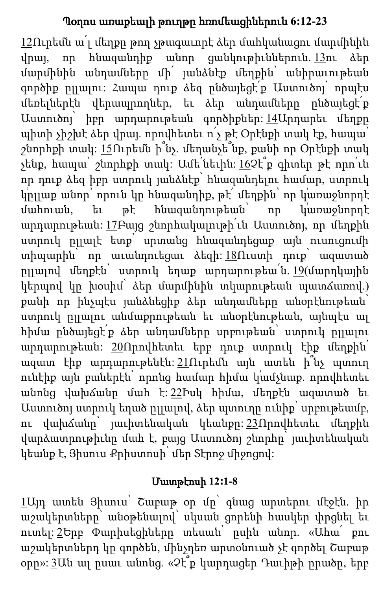# Պօղոս առաքեալի թուղթը հռոմեացիներուն **6:12-23**

[12](http://biblehub.com/romans/6-12.htm)Ուրեմն ա՛լ մեղքը թող չթագաւորէ ձեր մահկանացու մարմինին վրայ, որ հնազանդիք անոր ցանկութիւններուն. [13](http://biblehub.com/romans/6-13.htm)ու ձեր մարմինին անդամները մի՛ յանձնէք մեղքին՝ անիրաւութեան գործիք ըլլալու: Հապա դուք ձեզ ընծայեցէ՛ք Աստուծոյ՝ որպէս մեռելներէն վերապրողներ, եւ ձեր անդամները ընծայեցէ՛ք Աստուծոյ՝ իբր արդարութեան գործիքներ: [14](http://biblehub.com/romans/6-14.htm)Արդարեւ մեղքը պիտի չիշխէ ձեր վրայ. որովհետեւ ո՛չ թէ Օրէնքի տակ էք, հապա՝ շնորհքի տակ: [15](http://biblehub.com/romans/6-15.htm)Ուրեմն ի՞նչ. մեղանչե՞նք, քանի որ Օրէնքի տակ չենք, հապա՝ շնորհքի տակ: Ամե՛նեւին: [16](http://biblehub.com/romans/6-16.htm)Չէ՞ք գիտեր թէ որո՛ւն որ դուք ձեզ իբր ստրուկ յանձնէք՝ հնազանդելու համար, ստրուկ կրլլաք անոր՝ որուն կը հնազանդիք, թէ՛ մեղքին՝ որ կառաջնորդէ մահուան, եւ թէ հնազանդութեան՝ որ կառաջնորդէ արդարութեան: [17](http://biblehub.com/romans/6-17.htm)Բայց շնորհակալութի՛ւն Աստուծոյ, որ մեղքին ստրուկ ըլլալէ ետք՝ սրտանց հնազանդեցաք այն ուսուցումի տիպարին՝ որ աւանդուեցաւ ձեզի: [18](http://biblehub.com/romans/6-18.htm)Ուստի դուք՝ ազատած րլլալով մեղքէն՝ ստրուկ եղաք արդարութեա<sup>՛</sup>ն. <u>19</u>(մարդկային կերպով կը խօսիմ՝ ձեր մարմինին տկարութեան պատճառով.) քանի որ ինչպէս յանձնեցիք ձեր անդամները անօրէնութեան՝ ստրուկ ըլլալու անմաքրութեան եւ անօրէնութեան, այնպէս ալ հիմա ընծայեցէ՛ք ձեր անդամները սրբութեան՝ ստրուկ ըլլալու արդարութեան: [20](http://biblehub.com/romans/6-20.htm)Որովհետեւ երբ դուք ստրուկ էիք մեղքին՝ ազատ էիք արդարութենէն: [21](http://biblehub.com/romans/6-21.htm)Ուրեմն այն ատեն ի՞նչ պտուղ ունէիք այն բաներէն՝ որոնց համար հիմա կամչնաք. որովհետեւ անոնց վախճանը մահ է: [22](http://biblehub.com/romans/6-22.htm)Իսկ հիմա, մեղքէն ազատած եւ Աստուծոյ ստրուկ եղած ըլլալով, ձեր պտուղը ունիք՝ սրբութեամբ, ու վախճանը՝ յաւիտենական կեանքը: [23](http://biblehub.com/romans/6-23.htm)Որովհետեւ մեղքին վարձատրութիւնը մահ է, բայց Աստուծոյ շնորհը՝ յաւիտենական կեանք է, Յիսուս Քրիստոսի՝ մեր Տէրոջ միջոցով:

# Մատթէոսի **12։1-8**

[1](http://biblehub.com/matthew/12-1.htm)Այդ ատեն Յիսուս՝ Շաբաթ օր մը՝ գնաց արտերու մէջէն. իր աշակերտները՝ անօթենալով՝ սկսան ցորենի հասկեր փրցնել եւ ուտել: [2](http://biblehub.com/matthew/12-2.htm)Երբ Փարիսեցիները տեսան՝ ըսին անոր. «Ահա՛ քու աշակերտներդ կը գործեն, մինչդեռ արտօնուած չէ գործել Շաբաթ օրը»: [3](http://biblehub.com/matthew/12-3.htm)Ան ալ ըսաւ անոնց. «Չէ՞ք կարդացեր Դաւիթի ըրածը, երբ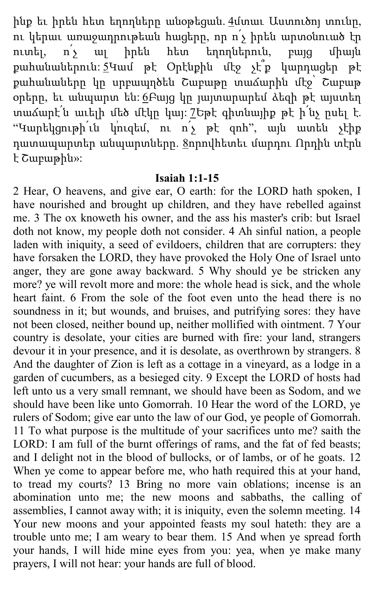ինք եւ իրեն հետ եղողները անօթեցան. <u>[4](http://biblehub.com/matthew/12-4.htm)</u>մտաւ Աստուծոլ տունը, ու կերաւ առաջադրութեան հացերը, որ ո՛չ իրեն արտօնուած էր ուտել, ո՛չ ալ իրեն հետ եղողներուն, բայց միայն քահանաներուն: [5](http://biblehub.com/matthew/12-5.htm)Կամ թէ Օրէնքին մէջ չէ՞ք կարդացեր թէ քահանաները կը սրբապղծեն Շաբաթը տաճարին մէջ՝ Շաբաթ օրերը, եւ անպարտ են: [6](http://biblehub.com/matthew/12-6.htm)Բայց կը յայտարարեմ ձեզի թէ այստեղ տաճարէ՛ն աւելի մեծ մէկը կայ: [7](http://biblehub.com/matthew/12-7.htm)Եթէ գիտնայիք թէ ի՛նչ ըսել է. "Կարեկցութի<sup>՛</sup>ւն կուզեմ, ու ո՛չ թէ զոհ", այն ատեն չէիք դատապարտեր անպարտները. [8](http://biblehub.com/matthew/12-8.htm)որովհետեւ մարդու Որդին տէրն է Շաբաթին»:

#### **Isaiah 1:1-15**

2 Hear, O heavens, and give ear, O earth: for the LORD hath spoken, I have nourished and brought up children, and they have rebelled against me. 3 The ox knoweth his owner, and the ass his master's crib: but Israel doth not know, my people doth not consider. 4 Ah sinful nation, a people laden with iniquity, a seed of evildoers, children that are corrupters: they have forsaken the LORD, they have provoked the Holy One of Israel unto anger, they are gone away backward. 5 Why should ye be stricken any more? ye will revolt more and more: the whole head is sick, and the whole heart faint. 6 From the sole of the foot even unto the head there is no soundness in it; but wounds, and bruises, and putrifying sores: they have not been closed, neither bound up, neither mollified with ointment. 7 Your country is desolate, your cities are burned with fire: your land, strangers devour it in your presence, and it is desolate, as overthrown by strangers. 8 And the daughter of Zion is left as a cottage in a vineyard, as a lodge in a garden of cucumbers, as a besieged city. 9 Except the LORD of hosts had left unto us a very small remnant, we should have been as Sodom, and we should have been like unto Gomorrah. 10 Hear the word of the LORD, ye rulers of Sodom; give ear unto the law of our God, ye people of Gomorrah. 11 To what purpose is the multitude of your sacrifices unto me? saith the LORD: I am full of the burnt offerings of rams, and the fat of fed beasts; and I delight not in the blood of bullocks, or of lambs, or of he goats. 12 When ye come to appear before me, who hath required this at your hand, to tread my courts? 13 Bring no more vain oblations; incense is an abomination unto me; the new moons and sabbaths, the calling of assemblies, I cannot away with; it is iniquity, even the solemn meeting. 14 Your new moons and your appointed feasts my soul hateth: they are a trouble unto me; I am weary to bear them. 15 And when ye spread forth your hands, I will hide mine eyes from you: yea, when ye make many prayers, I will not hear: your hands are full of blood.